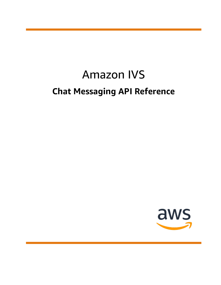# Amazon IVS **Chat Messaging API Reference**

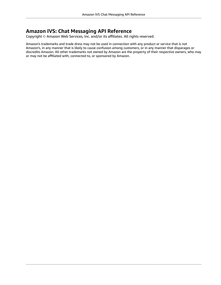#### **Amazon IVS: Chat Messaging API Reference**

Copyright © Amazon Web Services, Inc. and/or its affiliates. All rights reserved.

Amazon's trademarks and trade dress may not be used in connection with any product or service that is not Amazon's, in any manner that is likely to cause confusion among customers, or in any manner that disparages or discredits Amazon. All other trademarks not owned by Amazon are the property of their respective owners, who may or may not be affiliated with, connected to, or sponsored by Amazon.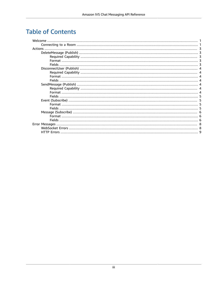### **Table of Contents**

| Welcome |  |
|---------|--|
|         |  |
|         |  |
|         |  |
|         |  |
|         |  |
|         |  |
|         |  |
|         |  |
|         |  |
|         |  |
|         |  |
|         |  |
|         |  |
|         |  |
|         |  |
|         |  |
|         |  |
|         |  |
|         |  |
|         |  |
|         |  |
|         |  |
|         |  |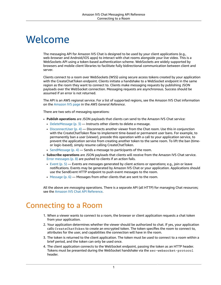# <span id="page-3-0"></span>Welcome

The messaging API for Amazon IVS Chat is designed to be used by your client applications (e.g., web-browser and Android/iOS apps) to interact with chat rooms alongside your live video. This is a WebSockets API using a token-based authentication scheme. WebSockets are widely supported by browsers and mobile client libraries to facilitate fully bidirectional communication between client and server.

Clients connect to a room over WebSockets (WSS) using secure access tokens created by your application with the CreateChatToken endpoint. Clients initiate a handshake to a WebSocket endpoint in the same region as the room they want to connect to. Clients make messaging requests by publishing JSON payloads over the WebSocket connection. Messaging requests are asynchronous. Success should be assumed if an error is not returned.

The API is an AWS regional service. For a list of supported regions, see the Amazon IVS Chat information on the [Amazon](https://docs.aws.amazon.com/general/latest/gr/ivs.html) IVS page in the *AWS General Reference*.

There are two sets of messaging operations:

- **Publish operations** are JSON payloads that clients can send to the Amazon IVS Chat service:
	- [DeleteMessage \(p. 3\)](#page-5-1) Instructs other clients to delete a message.
	- [DisconnectUser \(p. 4\)](#page-6-0) Disconnects another viewer from the Chat room. Use this in conjunction with the CreateChatToken flow to implement time-based or permanent user bans. For example, to permanently ban a user (viewer), precede this operation with a call to your application service, to prevent the application service from creating another token to the same room. To lift the ban (timeor logic-based), simply resume calling CreateChatToken.
	- SendMessage  $(p, 4)$  Sends a message to participants of the room.
- **Subscribe operations** are JSON payloads that clients will receive from the Amazon IVS Chat service. Error [messages \(p. 8\)](#page-10-0) are pushed to clients if an action fails.
	- [Event \(p. 5\)](#page-7-1) Events are messages generated by client actions or operations; e.g., join or leave notifications. Events may be generated by Amazon IVS Chat or your application. Applications should use the SendEvent HTTP endpoint to push event messages to the room.
	- [Message \(p. 6\)](#page-8-0) Messages from other clients that are sent to the room.

All the above are *messaging* operations. There is a separate API (all HTTP) for managing Chat resources; see the Amazon IVS Chat API [Reference](https://docs.aws.amazon.com/ivs/latest/ChatAPIReference/Welcome.html).

#### <span id="page-3-1"></span>Connecting to a Room

- 1. When a viewer wants to connect to a room, the browser or client application requests a chat token from your application.
- 2. Your application determines whether the viewer should be authorized to chat. If yes, your application calls CreateChatToken to create an encrypted token. The token specifies the room to connect to, attributes for the user, and capabilities the connection will have in the room.
- 3. The token is returned to the client application. The token must be used to connect to a room within a brief period, and the token can only be used once.
- 4. The client application connects to the WebSocket endpoint, passing the token as an HTTP header. Tokens must be presented during the WebSocket handshake via the sec-websocket-protocol header.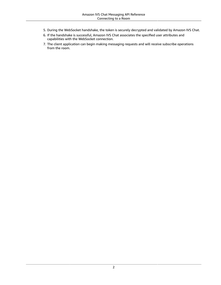- 5. During the WebSocket handshake, the token is securely decrypted and validated by Amazon IVS Chat.
- 6. If the handshake is successful, Amazon IVS Chat associates the specified user attributes and capabilities with the WebSocket connection.
- 7. The client application can begin making messaging requests and will receive subscribe operations from the room.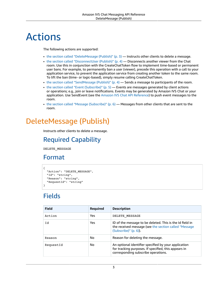# <span id="page-5-0"></span>Actions

The following actions are supported:

- the section called ["DeleteMessage](#page-5-1) (Publish)" [\(p. 3\)](#page-5-1) Instructs other clients to delete a message.
- the section called ["DisconnectUser](#page-6-0) (Publish)" (p.  $4$ ) Disconnects another viewer from the Chat room. Use this in conjunction with the CreateChatToken flow to implement time-based or permanent user bans. For example, to permanently ban a user (viewer), precede this operation with a call to your application service, to prevent the application service from creating another token to the same room. To lift the ban (time- or logic-based), simply resume calling CreateChatToken.
- the section called ["SendMessage](#page-6-4) (Publish)" (p.  $4$ ) Sends a message to participants of the room.
- the section called "Event [\(Subscribe\)" \(p. 5\)](#page-7-1) Events are messages generated by client actions or operations; e.g., join or leave notifications. Events may be generated by Amazon IVS Chat or your application. Use SendEvent (see the Amazon IVS Chat API [Reference](https://docs.aws.amazon.com/ivs/latest/ChatAPIReference/Welcome.html)) to push event messages to the room.
- the section called "Message [\(Subscribe\)" \(p. 6\)](#page-8-0) Messages from other clients that are sent to the room.

# <span id="page-5-2"></span><span id="page-5-1"></span>DeleteMessage (Publish)

Instructs other clients to delete a message.

#### Required Capability

DELETE\_MESSAGE

#### <span id="page-5-3"></span>Format

```
{
   "Action": "DELETE_MESSAGE",
   "Id": "string",
   "Reason": "string",
   "RequestId": "string"
}
```
## <span id="page-5-4"></span>**Fields**

| <b>Field</b> | Required | <b>Description</b>                                                                                                                                  |
|--------------|----------|-----------------------------------------------------------------------------------------------------------------------------------------------------|
| Action       | Yes      | DELETE MESSAGE                                                                                                                                      |
| Id           | Yes      | ID of the message to be deleted. This is the Id field in<br>the received message (see the section called "Message<br>$(Subscripte)''$ (p. 6).       |
| Reason       | No       | Reason for deleting the message.                                                                                                                    |
| RequestId    | No       | An optional identifier specified by your application<br>for tracking purposes. If specified, this appears in<br>corresponding subscribe operations. |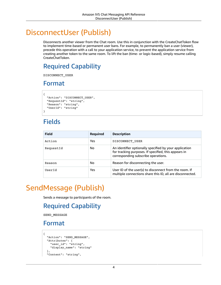# <span id="page-6-0"></span>DisconnectUser (Publish)

Disconnects another viewer from the Chat room. Use this in conjunction with the CreateChatToken flow to implement time-based or permanent user bans. For example, to permanently ban a user (viewer), precede this operation with a call to your application service, to prevent the application service from creating another token to the same room. To lift the ban (time- or logic-based), simply resume calling CreateChatToken.

### <span id="page-6-1"></span>Required Capability

<span id="page-6-2"></span>DISCONNECT\_USER

#### Format

```
{
  "Action": "DISCONNECT USER",
   "RequestId": "string",
   "Reason": "string",
   "UserId": "string"
}
```
### <span id="page-6-3"></span>Fields

| <b>Field</b> | <b>Required</b> | <b>Description</b>                                                                                                                                    |
|--------------|-----------------|-------------------------------------------------------------------------------------------------------------------------------------------------------|
| Action       | Yes             | DISCONNECT USER                                                                                                                                       |
| RequestId    | No              | An identifier optionally specified by your application<br>for tracking purposes. If specified, this appears in<br>corresponding subscribe operations. |
| Reason       | No              | Reason for disconnecting the user.                                                                                                                    |
| UserId       | Yes             | User ID of the user(s) to disconnect from the room. If<br>multiple connections share this ID, all are disconnected.                                   |

# <span id="page-6-5"></span><span id="page-6-4"></span>SendMessage (Publish)

Sends a message to participants of the room.

#### Required Capability

SEND\_MESSAGE

#### <span id="page-6-6"></span>Format

```
{
  "Action": "SEND_MESSAGE",
   "Attributes": {
    "user_id": "string",
     "display_name": "string"
   },
   "Content": "string",
```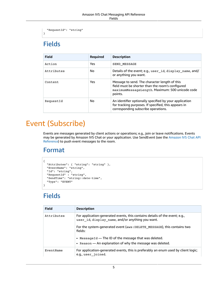```
 "RequestId": "string"
}
```
# <span id="page-7-0"></span>Fields

| <b>Field</b> | <b>Required</b> | <b>Description</b>                                                                                                                                              |
|--------------|-----------------|-----------------------------------------------------------------------------------------------------------------------------------------------------------------|
| Action       | Yes             | SEND MESSAGE                                                                                                                                                    |
| Attributes   | No              | Details of the event; e.g., user_id, display_name, and/<br>or anything you want.                                                                                |
| Content      | <b>Yes</b>      | Message to send. The character length of this<br>field must be shorter than the room's configured<br>maximumMessageLength. Maximum: 500 unicode code<br>points. |
| RequestId    | No              | An identifier optionally specified by your application<br>for tracking purposes. If specified, this appears in<br>corresponding subscribe operations.           |

# <span id="page-7-1"></span>Event (Subscribe)

Events are messages generated by client actions or operations; e.g., join or leave notifications. Events may be generated by Amazon IVS Chat or your application. Use SendEvent (see the [Amazon](https://docs.aws.amazon.com/ivs/latest/ChatAPIReference/Welcome.html) IVS Chat API [Reference](https://docs.aws.amazon.com/ivs/latest/ChatAPIReference/Welcome.html)) to push event messages to the room.

#### <span id="page-7-2"></span>Format

```
{
 "Attributes": { "string": "string" },
 "EventName": "string",
  "Id": "string",
 "RequestId" : "string",
 "SendTime": "string::date-time",
   "Type": "EVENT"
}
```
# <span id="page-7-3"></span>Fields

| <b>Field</b> | <b>Description</b>                                                                                                              |
|--------------|---------------------------------------------------------------------------------------------------------------------------------|
| Attributes   | For application-generated events, this contains details of the event; e.g.,<br>user_id, display_name, and/or anything you want. |
|              | For the system-generated event (aws: DELETE MESSAGE), this contains two<br>fields:                                              |
|              | • Message Id — The ID of the message that was deleted.                                                                          |
|              | • Reason - An explanation of why the message was deleted.                                                                       |
| EventName    | For application-generated events, this is preferably an enum used by client logic;<br>e.g., user_joined.                        |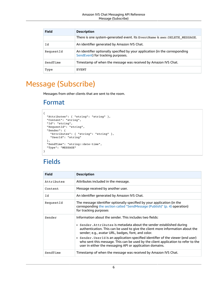| <b>Field</b> | <b>Description</b>                                                                                                |  |  |  |
|--------------|-------------------------------------------------------------------------------------------------------------------|--|--|--|
|              | There is one system-generated event. Its EventName is aws: DELETE MESSAGE.                                        |  |  |  |
| Id           | An identifier generated by Amazon IVS Chat.                                                                       |  |  |  |
| RequestId    | An identifier optionally specified by your application (in the corresponding<br>SendEvent) for tracking purposes. |  |  |  |
| SendTime     | Timestamp of when the message was received by Amazon IVS Chat.                                                    |  |  |  |
| Type         | EVENT                                                                                                             |  |  |  |

# <span id="page-8-1"></span><span id="page-8-0"></span>Message (Subscribe)

Messages from other clients that are sent to the room.

#### Format

```
{
   "Attributes": { "string": "string" },
   "Content": "string",
   "Id": "string",
   "RequestId": "string",
   "Sender": {
     "Attributes": { "string": "string" },
     "UserId": "string"
   },
   "SendTime": "string::date-time",
   "Type": "MESSAGE"
}
```
### <span id="page-8-2"></span>Fields

| <b>Field</b> | <b>Description</b>                                                                                                                                                                                                                                                                                                                                                                                                                                                                                            |
|--------------|---------------------------------------------------------------------------------------------------------------------------------------------------------------------------------------------------------------------------------------------------------------------------------------------------------------------------------------------------------------------------------------------------------------------------------------------------------------------------------------------------------------|
| Attributes   | Attributes included in the message.                                                                                                                                                                                                                                                                                                                                                                                                                                                                           |
| Content      | Message received by another user.                                                                                                                                                                                                                                                                                                                                                                                                                                                                             |
| Id           | An identifier generated by Amazon IVS Chat.                                                                                                                                                                                                                                                                                                                                                                                                                                                                   |
| RequestId    | The message identifier optionally specified by your application (in the<br>corresponding the section called "SendMessage (Publish)" (p. 4) operation)<br>for tracking purposes                                                                                                                                                                                                                                                                                                                                |
| Sender       | Information about the sender. This includes two fields:<br>• Sender. Attributes is metadata about the sender established during<br>authentication. This can be used to give the client more information about the<br>sender; e.g., avatar URL, badges, font, and color.<br>• Sender. User Id is an application-specified identifier of the viewer (end user)<br>who sent this message. This can be used by the client application to refer to the<br>user in either the messaging API or application domains. |
| SendTime     | Timestamp of when the message was received by Amazon IVS Chat.                                                                                                                                                                                                                                                                                                                                                                                                                                                |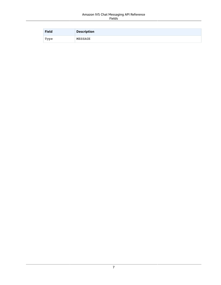#### Amazon IVS Chat Messaging API Reference Fields

| <b>Field</b> | <b>Description</b> |
|--------------|--------------------|
| Type         | MESSAGE            |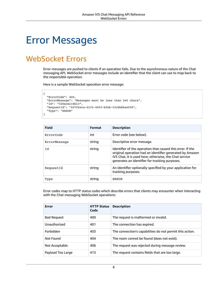# <span id="page-10-0"></span>Error Messages

# <span id="page-10-1"></span>WebSocket Errors

Error messages are pushed to clients if an operation fails. Due to the asynchronous nature of the Chat messaging API, WebSocket error messages include an identifier that the client can use to map back to the responsible operation.

Here is a sample WebSocket operation error message:

```
{
  "ErrorCode": 400,
  "ErrorMessage": "Messages must be less than 240 chars",
  "Id": "IG5mcmlvdGlv",
  "RequestId": "497f6eca-6276-4993-bfeb-53cbbbba6f08",
  "Type": "ERROR"
}
```

| <b>Field</b> | <b>Format</b> | <b>Description</b>                                                                                                                                                                                                                 |
|--------------|---------------|------------------------------------------------------------------------------------------------------------------------------------------------------------------------------------------------------------------------------------|
| ErrorCode    | int           | Error code (see below).                                                                                                                                                                                                            |
| ErrorMessage | string        | Descriptive error message.                                                                                                                                                                                                         |
| Id           | string        | Identifier of the operation that caused this error. If the<br>original operation had an identifier generated by Amazon<br>IVS Chat, it is used here; otherwise, the Chat service<br>generates an identifier for tracking purposes. |
| RequestId    | string        | An identifier optionally specified by your application for<br>tracking purposes.                                                                                                                                                   |
| Type         | string        | <b>ERROR</b>                                                                                                                                                                                                                       |

Error codes map to HTTP status codes which describe errors that clients may encounter when interacting with the Chat messaging WebSocket operations:

| <b>Error</b>       | <b>HTTP Status</b><br>Code | <b>Description</b>                                       |
|--------------------|----------------------------|----------------------------------------------------------|
| <b>Bad Request</b> | 400                        | The request is malformed or invalid.                     |
| Unauthorized       | 401                        | The connection has expired.                              |
| Forbidden          | 403                        | The connection's capabilities do not permit this action. |
| Not Found          | 404                        | The room cannot be found (does not exist).               |
| Not Acceptable     | 406                        | The request was rejected during message review.          |
| Payload Too Large  | 413                        | The request contains fields that are too large.          |